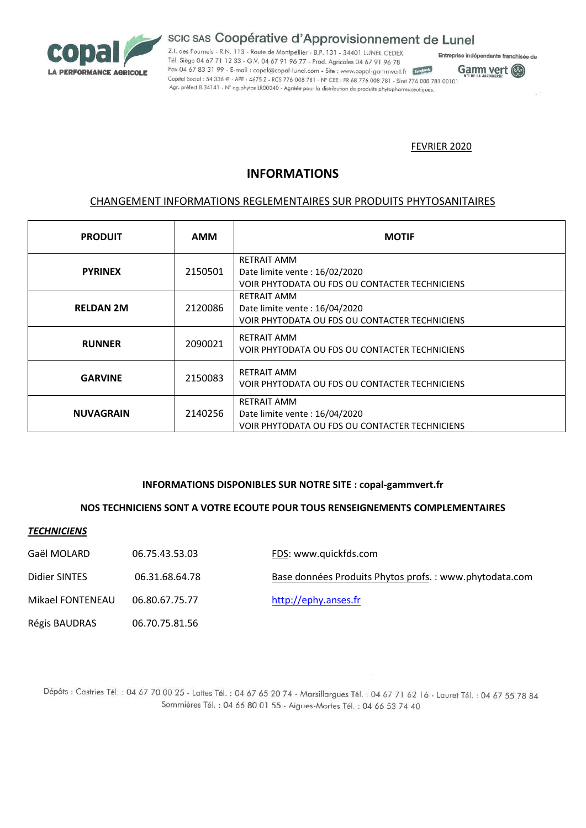

# scic sas Coopérative d'Approvisionnement de Lunel

Z.I. des Fournels - R.N. 113 - Route de Montpellier - B.P. 131 - 34401 LUNEL CEDEX Tél. Siège 04 67 71 12 33 - G.V. 04 67 91 96 77 - Prod. Agricoles 04 67 91 96 78 Fax 04 67 83 31 99 - E-mail: copal@copal-lunel.com - Site: www.copal-gammvert.fr [tacebook] Capital Social : 54 336 € - APE : 4675 Z - RCS 776 008 781 - N° CEE : FR 68 776 008 781 - Siret 776 008 781 00101 Agr. prèfect B.34141 - N° ag.phytos LR00040 - Agréée pour la distribution de produits phytopharmaceutiques.





### FEVRIER 2020

## **INFORMATIONS**

## CHANGEMENT INFORMATIONS REGLEMENTAIRES SUR PRODUITS PHYTOSANITAIRES

| <b>PRODUIT</b>   | <b>AMM</b> | <b>MOTIF</b>                                                                                          |
|------------------|------------|-------------------------------------------------------------------------------------------------------|
| <b>PYRINEX</b>   | 2150501    | <b>RETRAIT AMM</b><br>Date limite vente: 16/02/2020<br>VOIR PHYTODATA OU FDS OU CONTACTER TECHNICIENS |
| <b>RELDAN 2M</b> | 2120086    | <b>RETRAIT AMM</b><br>Date limite vente: 16/04/2020<br>VOIR PHYTODATA OU FDS OU CONTACTER TECHNICIENS |
| <b>RUNNER</b>    | 2090021    | <b>RETRAIT AMM</b><br>VOIR PHYTODATA OU FDS OU CONTACTER TECHNICIENS                                  |
| <b>GARVINE</b>   | 2150083    | <b>RETRAIT AMM</b><br>VOIR PHYTODATA OU FDS OU CONTACTER TECHNICIENS                                  |
| <b>NUVAGRAIN</b> | 2140256    | <b>RETRAIT AMM</b><br>Date limite vente: 16/04/2020<br>VOIR PHYTODATA OU FDS OU CONTACTER TECHNICIENS |

#### **INFORMATIONS DISPONIBLES SUR NOTRE SITE : copal-gammvert.fr**

#### **NOS TECHNICIENS SONT A VOTRE ECOUTE POUR TOUS RENSEIGNEMENTS COMPLEMENTAIRES**

#### *TECHNICIENS*

Gaël MOLARD 06.75.43.53.03 FDS: www.quickfds.com

| Didier SINTES | 06.31.68.64.78 | Base données Produits Phytos profs.: www.phytodata.com |
|---------------|----------------|--------------------------------------------------------|
|               |                |                                                        |

Mikael FONTENEAU 06.80.67.75.77 [http://ephy.anses.fr](http://ephy.anses.fr/)

Régis BAUDRAS 06.70.75.81.56

Dépôts : Castries Tél. : 04 67 70 00 25 - Lattes Tél. : 04 67 65 20 74 - Marsillargues Tél. : 04 67 71 62 16 - Lauret Tél. : 04 67 55 78 84 Sommières Tél. : 04 66 80 01 55 - Aigues-Mortes Tél. : 04 66 53 74 40